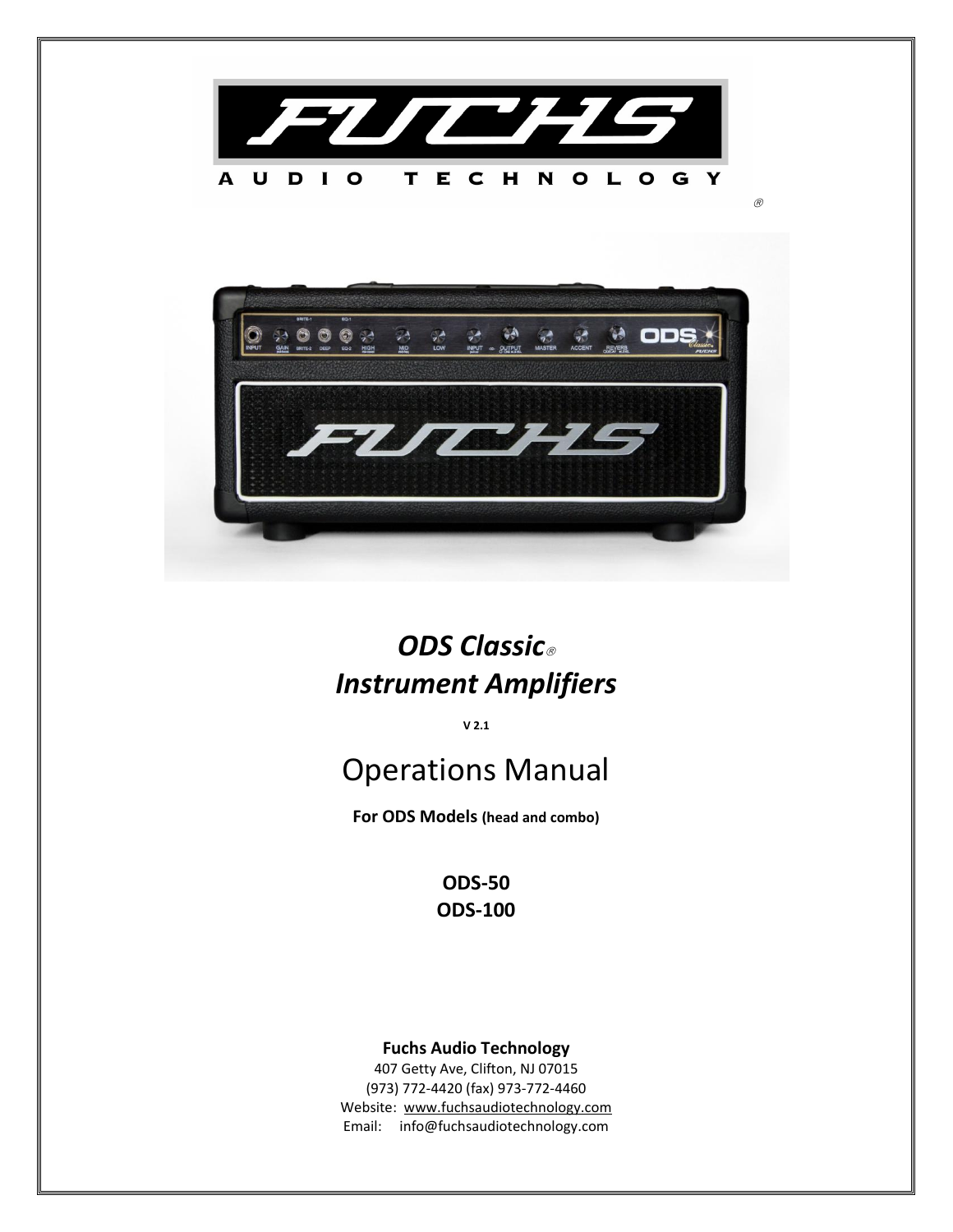



# *ODS Classic Instrument Amplifiers*

**V 2.1**

# Operations Manual

**For ODS Models (head and combo)**

**ODS-50 ODS-100**

# **Fuchs Audio Technology**

407 Getty Ave, Clifton, NJ 07015 (973) 772-4420 (fax) 973-772-4460 Website: [www.fuchsaudiotechnology.com](http://www.fuchsaudiotechnology.com/) Email: info@fuchsaudiotechnology.com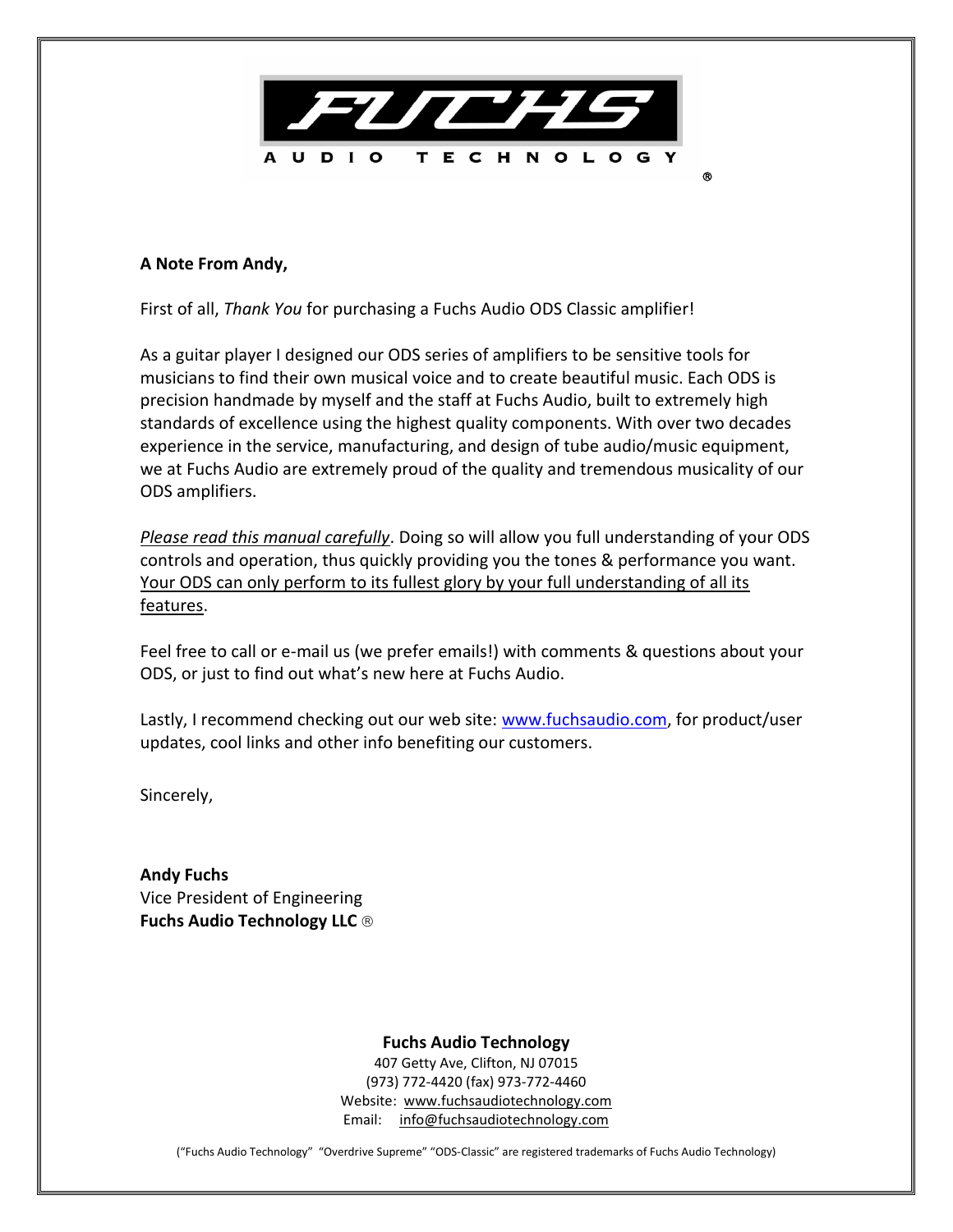

## **A Note From Andy,**

First of all, *Thank You* for purchasing a Fuchs Audio ODS Classic amplifier!

As a guitar player I designed our ODS series of amplifiers to be sensitive tools for musicians to find their own musical voice and to create beautiful music. Each ODS is precision handmade by myself and the staff at Fuchs Audio, built to extremely high standards of excellence using the highest quality components. With over two decades experience in the service, manufacturing, and design of tube audio/music equipment, we at Fuchs Audio are extremely proud of the quality and tremendous musicality of our ODS amplifiers.

*Please read this manual carefully*. Doing so will allow you full understanding of your ODS controls and operation, thus quickly providing you the tones & performance you want. Your ODS can only perform to its fullest glory by your full understanding of all its features.

Feel free to call or e-mail us (we prefer emails!) with comments & questions about your ODS, or just to find out what's new here at Fuchs Audio.

Lastly, I recommend checking out our web site: [www.fuchsaudio.com,](http://www.fuchsaudio.com/) for product/user updates, cool links and other info benefiting our customers.

Sincerely,

**Andy Fuchs** Vice President of Engineering **Fuchs Audio Technology LLC** 

## **Fuchs Audio Technology**

407 Getty Ave, Clifton, NJ 07015 (973) 772-4420 (fax) 973-772-4460 Website: [www.fuchsaudiotechnology.com](http://www.fuchsaudiotechnology.com/) Email: [info@fuchsaudiotechnology.com](mailto:info@fuchsaudiotechnology.com)

("Fuchs Audio Technology" "Overdrive Supreme" "ODS-Classic" are registered trademarks of Fuchs Audio Technology)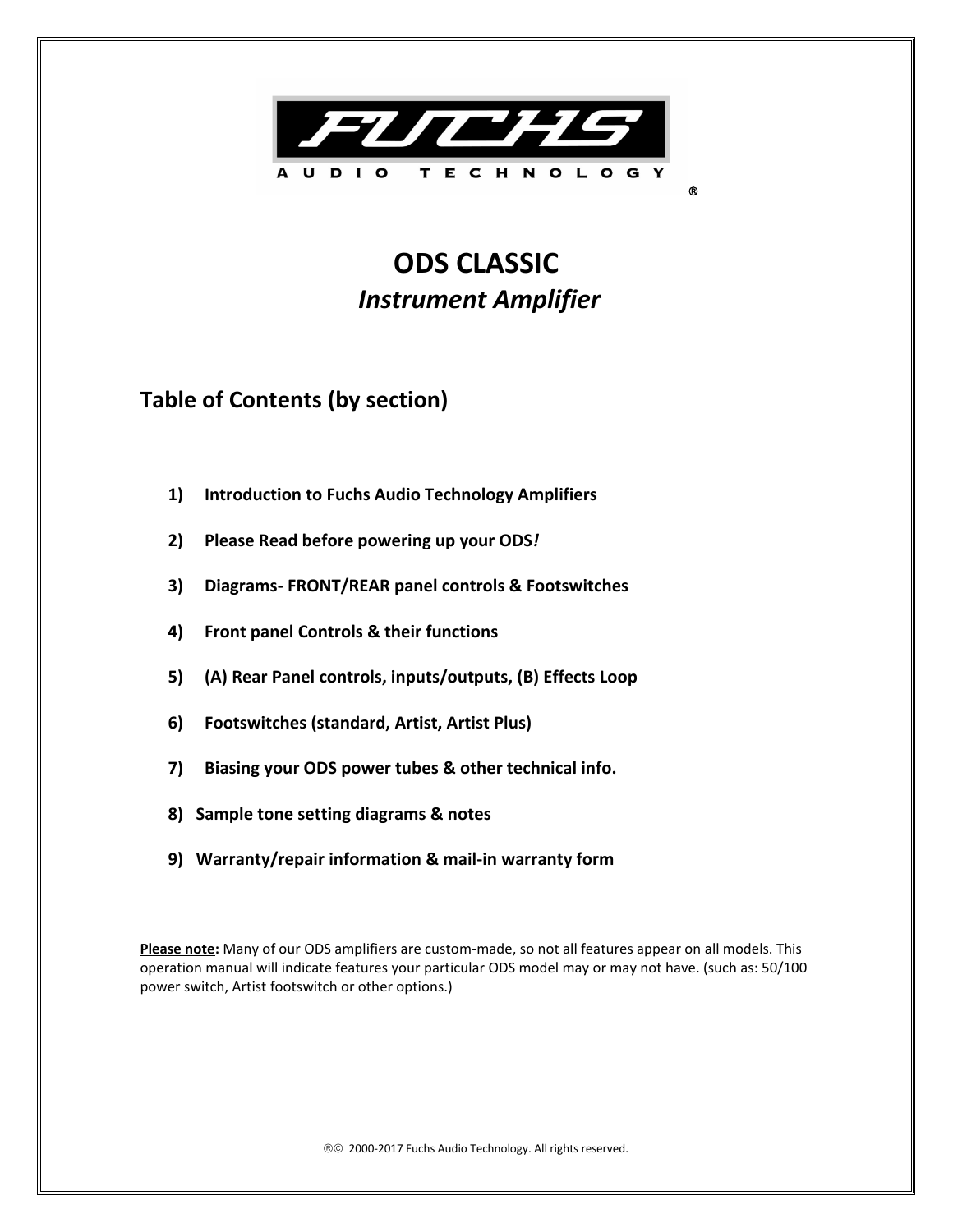

# **ODS CLASSIC**  *Instrument Amplifier*

# **Table of Contents (by section)**

- **1) Introduction to Fuchs Audio Technology Amplifiers**
- **2) Please Read before powering up your ODS***!*
- **3) Diagrams- FRONT/REAR panel controls & Footswitches**
- **4) Front panel Controls & their functions**
- **5) (A) Rear Panel controls, inputs/outputs, (B) Effects Loop**
- **6) Footswitches (standard, Artist, Artist Plus)**
- **7) Biasing your ODS power tubes & other technical info.**
- **8) Sample tone setting diagrams & notes**
- **9) Warranty/repair information & mail-in warranty form**

**Please note:** Many of our ODS amplifiers are custom-made, so not all features appear on all models. This operation manual will indicate features your particular ODS model may or may not have. (such as: 50/100 power switch, Artist footswitch or other options.)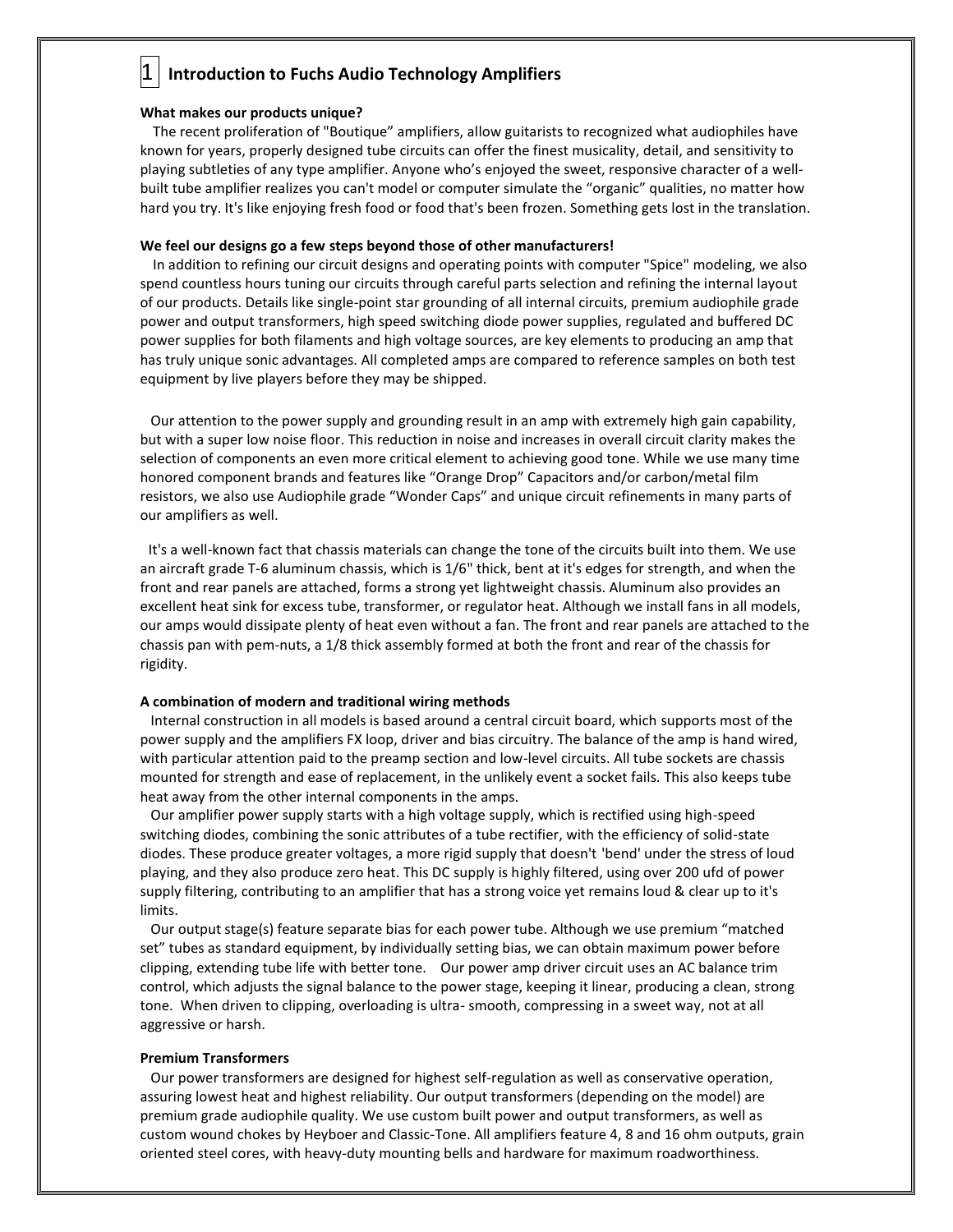# 1 **Introduction to Fuchs Audio Technology Amplifiers**

#### **What makes our products unique?**

 The recent proliferation of "Boutique" amplifiers, allow guitarists to recognized what audiophiles have known for years, properly designed tube circuits can offer the finest musicality, detail, and sensitivity to playing subtleties of any type amplifier. Anyone who's enjoyed the sweet, responsive character of a wellbuilt tube amplifier realizes you can't model or computer simulate the "organic" qualities, no matter how hard you try. It's like enjoying fresh food or food that's been frozen. Something gets lost in the translation.

#### **We feel our designs go a few steps beyond those of other manufacturers!**

 In addition to refining our circuit designs and operating points with computer "Spice" modeling, we also spend countless hours tuning our circuits through careful parts selection and refining the internal layout of our products. Details like single-point star grounding of all internal circuits, premium audiophile grade power and output transformers, high speed switching diode power supplies, regulated and buffered DC power supplies for both filaments and high voltage sources, are key elements to producing an amp that has truly unique sonic advantages. All completed amps are compared to reference samples on both test equipment by live players before they may be shipped.

 Our attention to the power supply and grounding result in an amp with extremely high gain capability, but with a super low noise floor. This reduction in noise and increases in overall circuit clarity makes the selection of components an even more critical element to achieving good tone. While we use many time honored component brands and features like "Orange Drop" Capacitors and/or carbon/metal film resistors, we also use Audiophile grade "Wonder Caps" and unique circuit refinements in many parts of our amplifiers as well.

 It's a well-known fact that chassis materials can change the tone of the circuits built into them. We use an aircraft grade T-6 aluminum chassis, which is 1/6" thick, bent at it's edges for strength, and when the front and rear panels are attached, forms a strong yet lightweight chassis. Aluminum also provides an excellent heat sink for excess tube, transformer, or regulator heat. Although we install fans in all models, our amps would dissipate plenty of heat even without a fan. The front and rear panels are attached to the chassis pan with pem-nuts, a 1/8 thick assembly formed at both the front and rear of the chassis for rigidity.

#### **A combination of modern and traditional wiring methods**

 Internal construction in all models is based around a central circuit board, which supports most of the power supply and the amplifiers FX loop, driver and bias circuitry. The balance of the amp is hand wired, with particular attention paid to the preamp section and low-level circuits. All tube sockets are chassis mounted for strength and ease of replacement, in the unlikely event a socket fails. This also keeps tube heat away from the other internal components in the amps.

 Our amplifier power supply starts with a high voltage supply, which is rectified using high-speed switching diodes, combining the sonic attributes of a tube rectifier, with the efficiency of solid-state diodes. These produce greater voltages, a more rigid supply that doesn't 'bend' under the stress of loud playing, and they also produce zero heat. This DC supply is highly filtered, using over 200 ufd of power supply filtering, contributing to an amplifier that has a strong voice yet remains loud & clear up to it's limits.

 Our output stage(s) feature separate bias for each power tube. Although we use premium "matched set" tubes as standard equipment, by individually setting bias, we can obtain maximum power before clipping, extending tube life with better tone. Our power amp driver circuit uses an AC balance trim control, which adjusts the signal balance to the power stage, keeping it linear, producing a clean, strong tone. When driven to clipping, overloading is ultra- smooth, compressing in a sweet way, not at all aggressive or harsh.

#### **Premium Transformers**

 Our power transformers are designed for highest self-regulation as well as conservative operation, assuring lowest heat and highest reliability. Our output transformers (depending on the model) are premium grade audiophile quality. We use custom built power and output transformers, as well as custom wound chokes by Heyboer and Classic-Tone. All amplifiers feature 4, 8 and 16 ohm outputs, grain oriented steel cores, with heavy-duty mounting bells and hardware for maximum roadworthiness.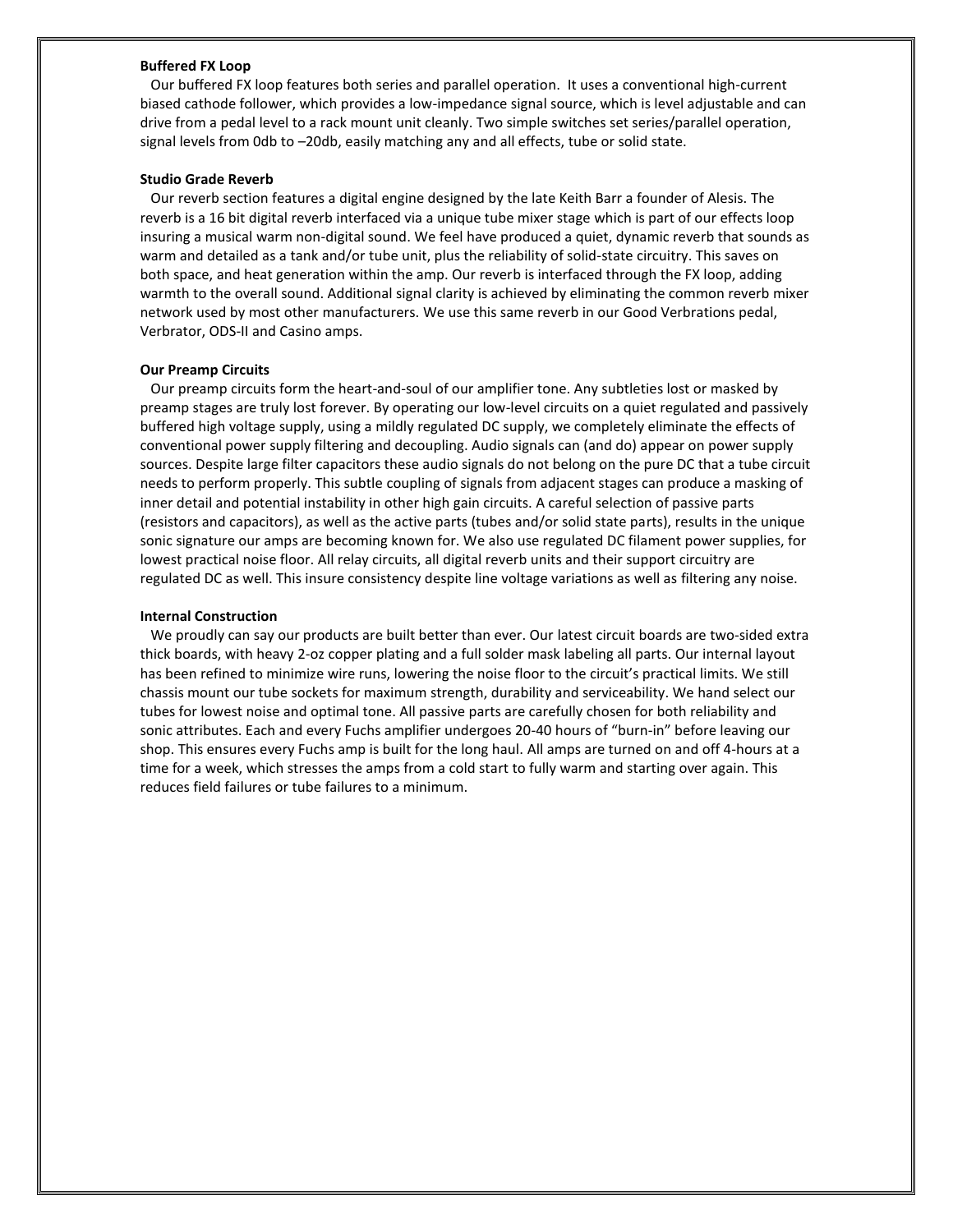#### **Buffered FX Loop**

 Our buffered FX loop features both series and parallel operation. It uses a conventional high-current biased cathode follower, which provides a low-impedance signal source, which is level adjustable and can drive from a pedal level to a rack mount unit cleanly. Two simple switches set series/parallel operation, signal levels from 0db to –20db, easily matching any and all effects, tube or solid state.

#### **Studio Grade Reverb**

 Our reverb section features a digital engine designed by the late Keith Barr a founder of Alesis. The reverb is a 16 bit digital reverb interfaced via a unique tube mixer stage which is part of our effects loop insuring a musical warm non-digital sound. We feel have produced a quiet, dynamic reverb that sounds as warm and detailed as a tank and/or tube unit, plus the reliability of solid-state circuitry. This saves on both space, and heat generation within the amp. Our reverb is interfaced through the FX loop, adding warmth to the overall sound. Additional signal clarity is achieved by eliminating the common reverb mixer network used by most other manufacturers. We use this same reverb in our Good Verbrations pedal, Verbrator, ODS-II and Casino amps.

#### **Our Preamp Circuits**

 Our preamp circuits form the heart-and-soul of our amplifier tone. Any subtleties lost or masked by preamp stages are truly lost forever. By operating our low-level circuits on a quiet regulated and passively buffered high voltage supply, using a mildly regulated DC supply, we completely eliminate the effects of conventional power supply filtering and decoupling. Audio signals can (and do) appear on power supply sources. Despite large filter capacitors these audio signals do not belong on the pure DC that a tube circuit needs to perform properly. This subtle coupling of signals from adjacent stages can produce a masking of inner detail and potential instability in other high gain circuits. A careful selection of passive parts (resistors and capacitors), as well as the active parts (tubes and/or solid state parts), results in the unique sonic signature our amps are becoming known for. We also use regulated DC filament power supplies, for lowest practical noise floor. All relay circuits, all digital reverb units and their support circuitry are regulated DC as well. This insure consistency despite line voltage variations as well as filtering any noise.

#### **Internal Construction**

 We proudly can say our products are built better than ever. Our latest circuit boards are two-sided extra thick boards, with heavy 2-oz copper plating and a full solder mask labeling all parts. Our internal layout has been refined to minimize wire runs, lowering the noise floor to the circuit's practical limits. We still chassis mount our tube sockets for maximum strength, durability and serviceability. We hand select our tubes for lowest noise and optimal tone. All passive parts are carefully chosen for both reliability and sonic attributes. Each and every Fuchs amplifier undergoes 20-40 hours of "burn-in" before leaving our shop. This ensures every Fuchs amp is built for the long haul. All amps are turned on and off 4-hours at a time for a week, which stresses the amps from a cold start to fully warm and starting over again. This reduces field failures or tube failures to a minimum.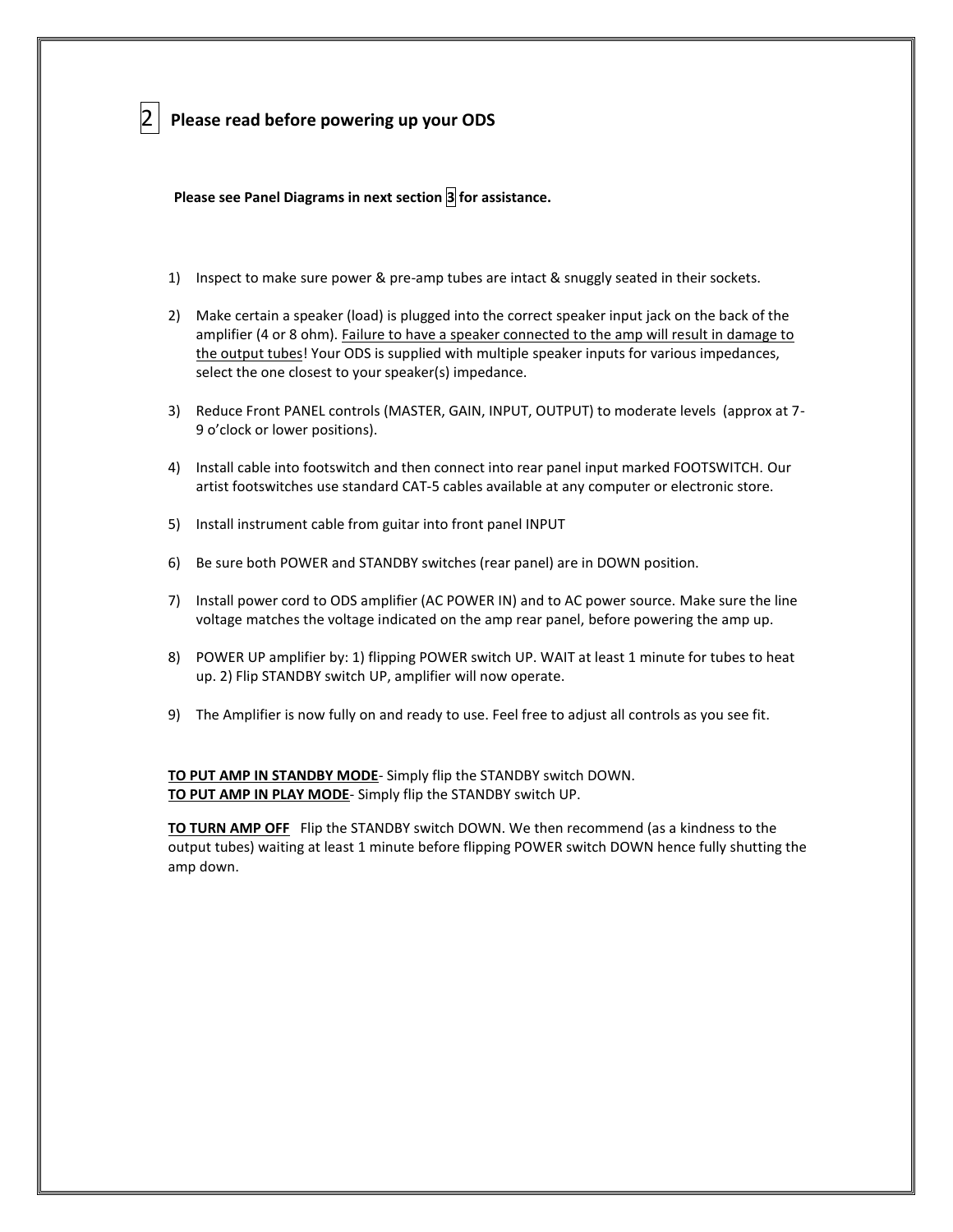## 2 **Please read before powering up your ODS**

 **Please see Panel Diagrams in next section 3 for assistance.**

- 1) Inspect to make sure power & pre-amp tubes are intact & snuggly seated in their sockets.
- 2) Make certain a speaker (load) is plugged into the correct speaker input jack on the back of the amplifier (4 or 8 ohm). Failure to have a speaker connected to the amp will result in damage to the output tubes! Your ODS is supplied with multiple speaker inputs for various impedances, select the one closest to your speaker(s) impedance.
- 3) Reduce Front PANEL controls (MASTER, GAIN, INPUT, OUTPUT) to moderate levels (approx at 7- 9 o'clock or lower positions).
- 4) Install cable into footswitch and then connect into rear panel input marked FOOTSWITCH. Our artist footswitches use standard CAT-5 cables available at any computer or electronic store.
- 5) Install instrument cable from guitar into front panel INPUT
- 6) Be sure both POWER and STANDBY switches (rear panel) are in DOWN position.
- 7) Install power cord to ODS amplifier (AC POWER IN) and to AC power source. Make sure the line voltage matches the voltage indicated on the amp rear panel, before powering the amp up.
- 8) POWER UP amplifier by: 1) flipping POWER switch UP. WAIT at least 1 minute for tubes to heat up. 2) Flip STANDBY switch UP, amplifier will now operate.
- 9) The Amplifier is now fully on and ready to use. Feel free to adjust all controls as you see fit.

**TO PUT AMP IN STANDBY MODE**- Simply flip the STANDBY switch DOWN. **TO PUT AMP IN PLAY MODE**- Simply flip the STANDBY switch UP.

**TO TURN AMP OFF** Flip the STANDBY switch DOWN. We then recommend (as a kindness to the output tubes) waiting at least 1 minute before flipping POWER switch DOWN hence fully shutting the amp down.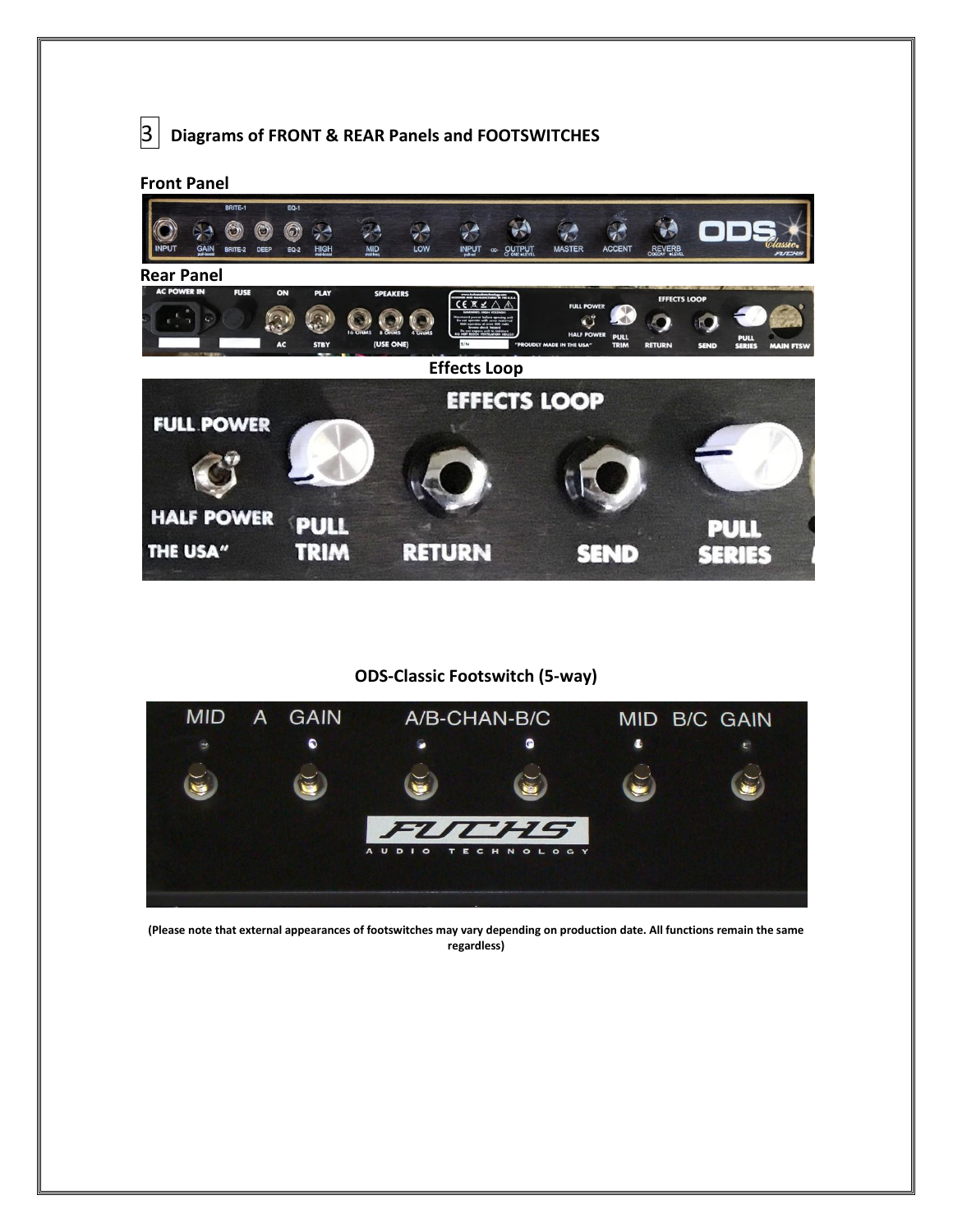

## **Front Panel**



### **ODS-Classic Footswitch (5-way)**



**(Please note that external appearances of footswitches may vary depending on production date. All functions remain the same regardless)**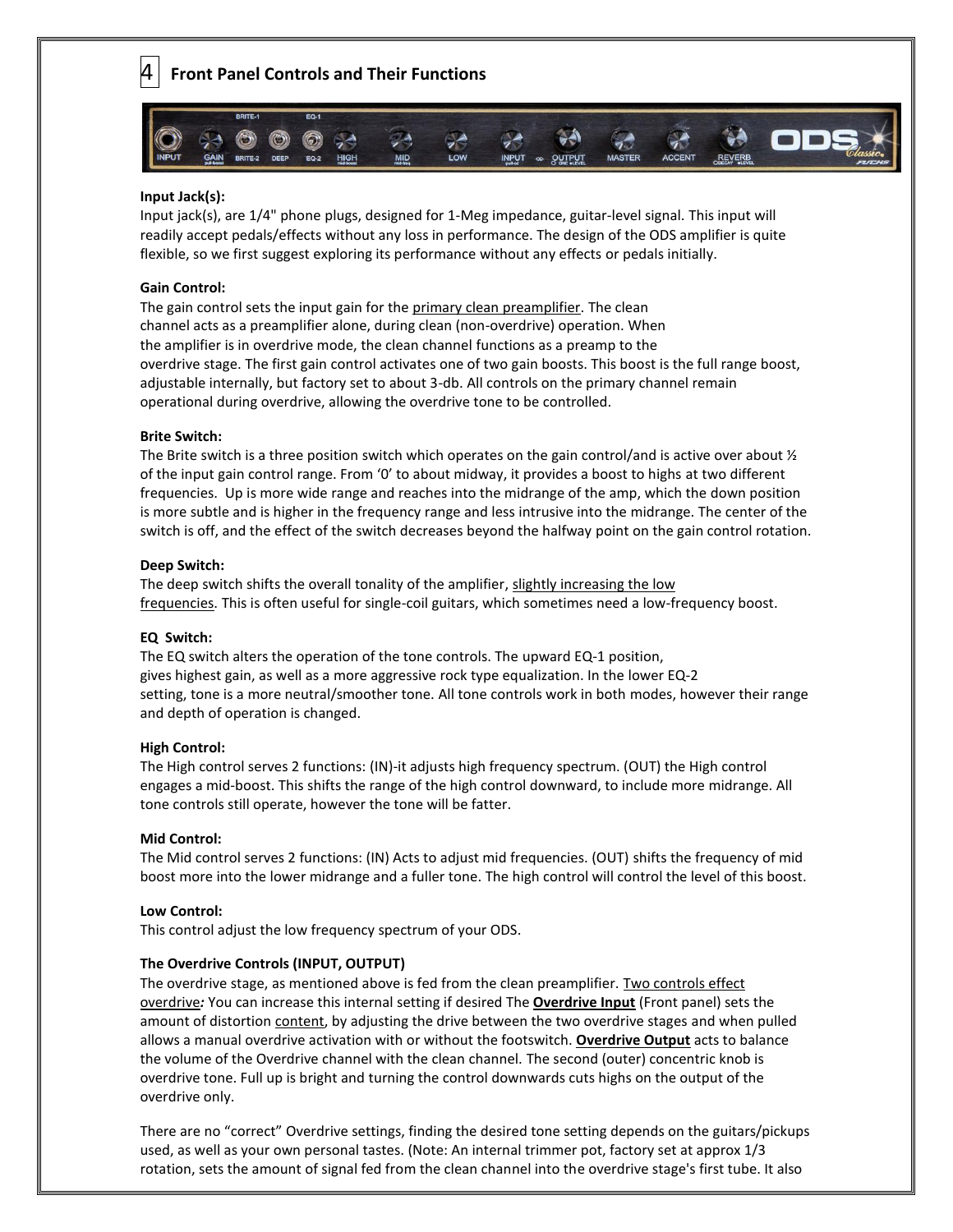4 **Front Panel Controls and Their Functions**



#### **Input Jack(s):**

Input jack(s), are 1/4" phone plugs, designed for 1-Meg impedance, guitar-level signal. This input will readily accept pedals/effects without any loss in performance. The design of the ODS amplifier is quite flexible, so we first suggest exploring its performance without any effects or pedals initially.

#### **Gain Control:**

The gain control sets the input gain for the primary clean preamplifier. The clean channel acts as a preamplifier alone, during clean (non-overdrive) operation. When the amplifier is in overdrive mode, the clean channel functions as a preamp to the overdrive stage. The first gain control activates one of two gain boosts. This boost is the full range boost, adjustable internally, but factory set to about 3-db. All controls on the primary channel remain operational during overdrive, allowing the overdrive tone to be controlled.

#### **Brite Switch:**

The Brite switch is a three position switch which operates on the gain control/and is active over about  $\frac{1}{2}$ of the input gain control range. From '0' to about midway, it provides a boost to highs at two different frequencies. Up is more wide range and reaches into the midrange of the amp, which the down position is more subtle and is higher in the frequency range and less intrusive into the midrange. The center of the switch is off, and the effect of the switch decreases beyond the halfway point on the gain control rotation.

#### **Deep Switch:**

The deep switch shifts the overall tonality of the amplifier, slightly increasing the low frequencies. This is often useful for single-coil guitars, which sometimes need a low-frequency boost.

#### **EQ Switch:**

The EQ switch alters the operation of the tone controls. The upward EQ-1 position, gives highest gain, as well as a more aggressive rock type equalization. In the lower EQ-2 setting, tone is a more neutral/smoother tone. All tone controls work in both modes, however their range and depth of operation is changed.

#### **High Control:**

The High control serves 2 functions: (IN)-it adjusts high frequency spectrum. (OUT) the High control engages a mid-boost. This shifts the range of the high control downward, to include more midrange. All tone controls still operate, however the tone will be fatter.

#### **Mid Control:**

The Mid control serves 2 functions: (IN) Acts to adjust mid frequencies. (OUT) shifts the frequency of mid boost more into the lower midrange and a fuller tone. The high control will control the level of this boost.

#### **Low Control:**

This control adjust the low frequency spectrum of your ODS.

#### **The Overdrive Controls (INPUT, OUTPUT)**

The overdrive stage, as mentioned above is fed from the clean preamplifier. Two controls effect overdrive*:* You can increase this internal setting if desired The **Overdrive Input** (Front panel) sets the amount of distortion content, by adjusting the drive between the two overdrive stages and when pulled allows a manual overdrive activation with or without the footswitch. **Overdrive Output** acts to balance the volume of the Overdrive channel with the clean channel. The second (outer) concentric knob is overdrive tone. Full up is bright and turning the control downwards cuts highs on the output of the overdrive only.

There are no "correct" Overdrive settings, finding the desired tone setting depends on the guitars/pickups used, as well as your own personal tastes. (Note: An internal trimmer pot, factory set at approx 1/3 rotation, sets the amount of signal fed from the clean channel into the overdrive stage's first tube. It also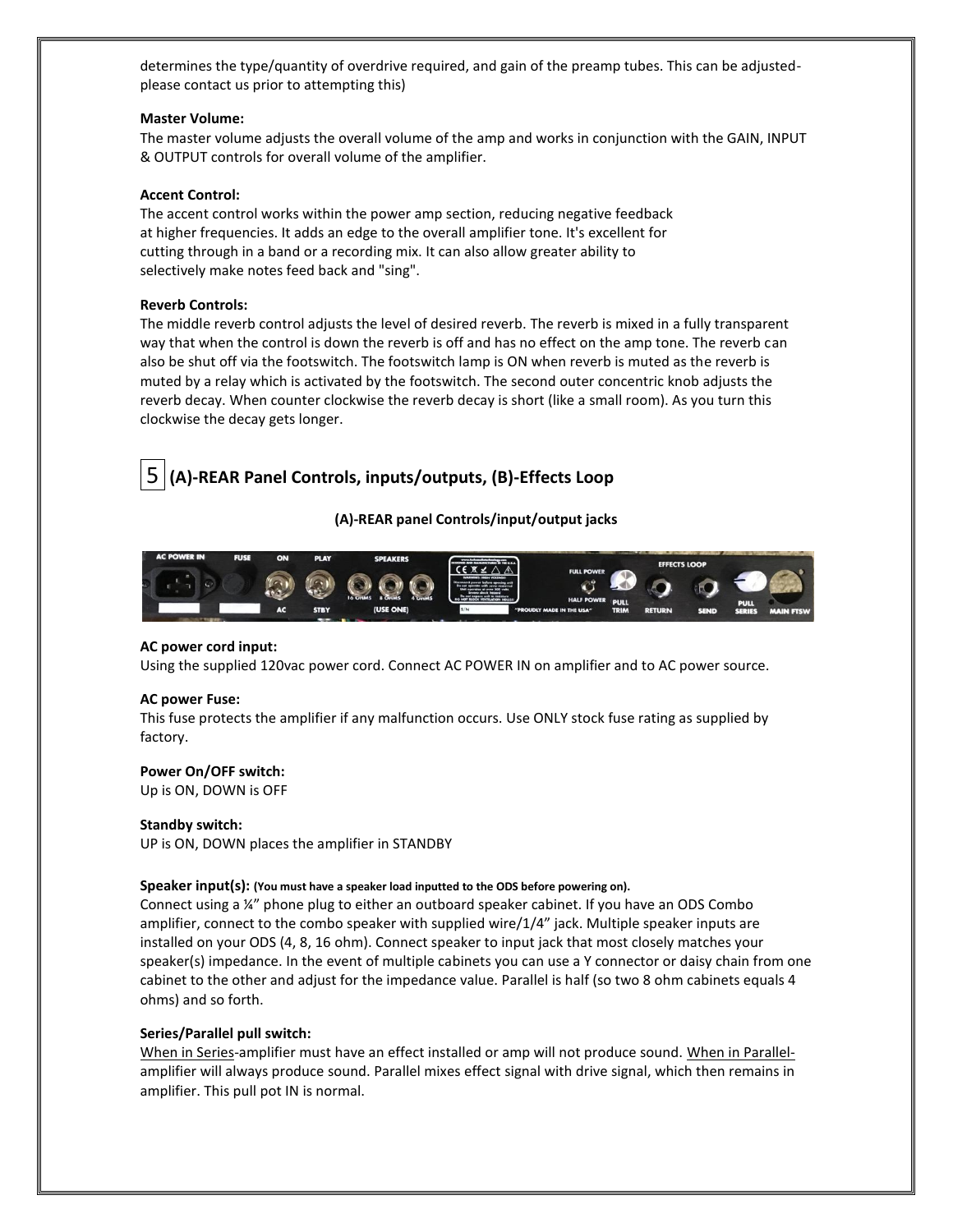determines the type/quantity of overdrive required, and gain of the preamp tubes. This can be adjustedplease contact us prior to attempting this)

#### **Master Volume:**

The master volume adjusts the overall volume of the amp and works in conjunction with the GAIN, INPUT & OUTPUT controls for overall volume of the amplifier.

#### **Accent Control:**

The accent control works within the power amp section, reducing negative feedback at higher frequencies. It adds an edge to the overall amplifier tone. It's excellent for cutting through in a band or a recording mix. It can also allow greater ability to selectively make notes feed back and "sing".

#### **Reverb Controls:**

The middle reverb control adjusts the level of desired reverb. The reverb is mixed in a fully transparent way that when the control is down the reverb is off and has no effect on the amp tone. The reverb can also be shut off via the footswitch. The footswitch lamp is ON when reverb is muted as the reverb is muted by a relay which is activated by the footswitch. The second outer concentric knob adjusts the reverb decay. When counter clockwise the reverb decay is short (like a small room). As you turn this clockwise the decay gets longer.

# 5 **(A)-REAR Panel Controls, inputs/outputs, (B)-Effects Loop**

#### **(A)-REAR panel Controls/input/output jacks**



#### **AC power cord input:**

Using the supplied 120vac power cord. Connect AC POWER IN on amplifier and to AC power source.

#### **AC power Fuse:**

This fuse protects the amplifier if any malfunction occurs. Use ONLY stock fuse rating as supplied by factory.

#### **Power On/OFF switch:**

Up is ON, DOWN is OFF

#### **Standby switch:**

UP is ON, DOWN places the amplifier in STANDBY

#### **Speaker input(s): (You must have a speaker load inputted to the ODS before powering on).**

Connect using a ¼" phone plug to either an outboard speaker cabinet. If you have an ODS Combo amplifier, connect to the combo speaker with supplied wire/1/4" jack. Multiple speaker inputs are installed on your ODS (4, 8, 16 ohm). Connect speaker to input jack that most closely matches your speaker(s) impedance. In the event of multiple cabinets you can use a Y connector or daisy chain from one cabinet to the other and adjust for the impedance value. Parallel is half (so two 8 ohm cabinets equals 4 ohms) and so forth.

#### **Series/Parallel pull switch:**

When in Series-amplifier must have an effect installed or amp will not produce sound. When in Parallelamplifier will always produce sound. Parallel mixes effect signal with drive signal, which then remains in amplifier. This pull pot IN is normal.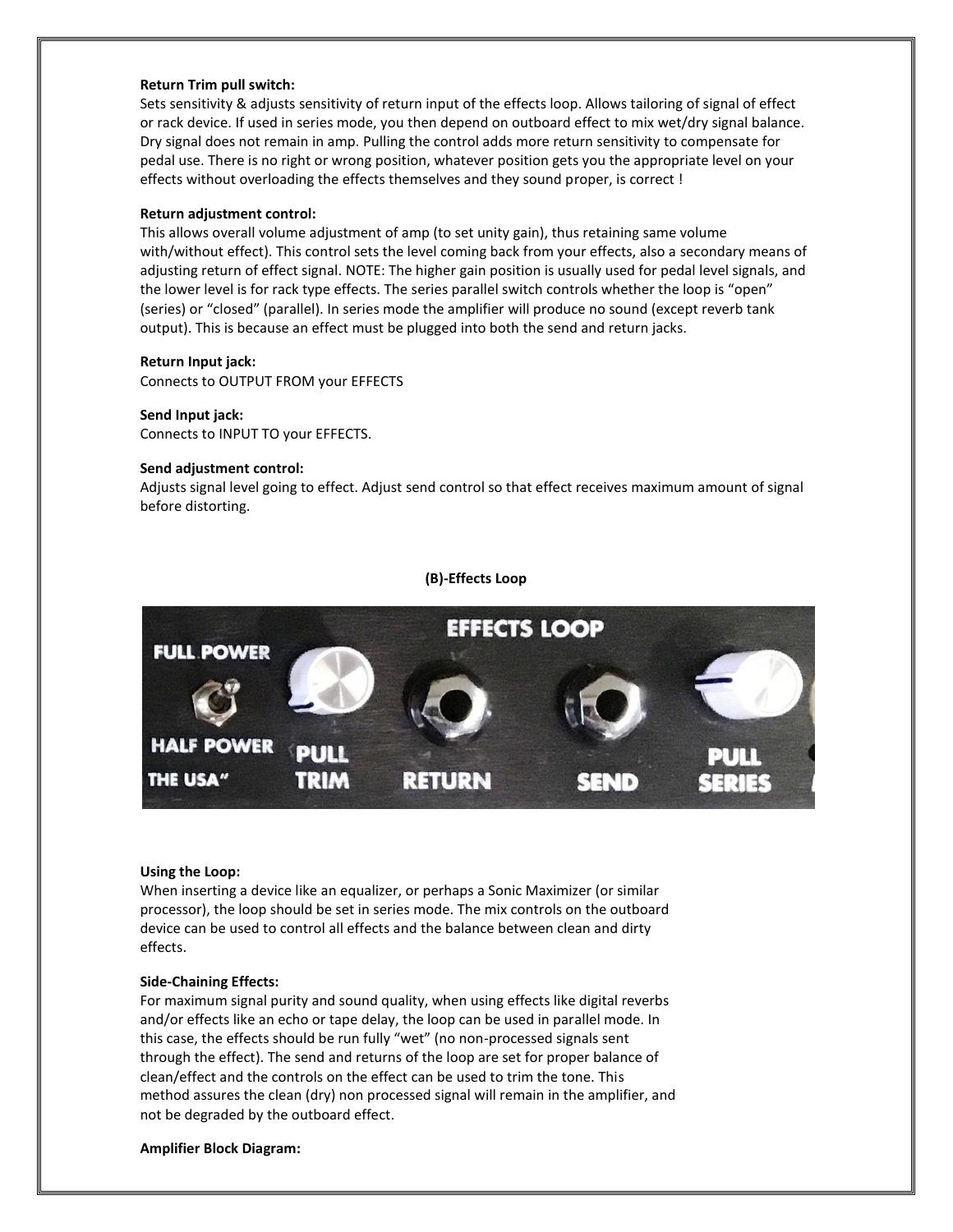#### **Return Trim pull switch:**

Sets sensitivity & adjusts sensitivity of return input of the effects loop. Allows tailoring of signal of effect or rack device. If used in series mode, you then depend on outboard effect to mix wet/dry signal balance. Dry signal does not remain in amp. Pulling the control adds more return sensitivity to compensate for pedal use. There is no right or wrong position, whatever position gets you the appropriate level on your effects without overloading the effects themselves and they sound proper, is correct !

#### **Return adjustment control:**

This allows overall volume adjustment of amp (to set unity gain), thus retaining same volume with/without effect). This control sets the level coming back from your effects, also a secondary means of adjusting return of effect signal. NOTE: The higher gain position is usually used for pedal level signals, and the lower level is for rack type effects. The series parallel switch controls whether the loop is "open" (series) or "closed" (parallel). In series mode the amplifier will produce no sound (except reverb tank output). This is because an effect must be plugged into both the send and return jacks.

#### **Return Input jack:**

Connects to OUTPUT FROM your EFFECTS

#### **Send Input jack:**

Connects to INPUT TO your EFFECTS.

#### **Send adjustment control:**

Adjusts signal level going to effect. Adjust send control so that effect receives maximum amount of signal before distorting.

#### **(B)-Effects Loop**



#### **Using the Loop:**

When inserting a device like an equalizer, or perhaps a Sonic Maximizer (or similar processor), the loop should be set in series mode. The mix controls on the outboard device can be used to control all effects and the balance between clean and dirty effects.

#### **Side-Chaining Effects:**

For maximum signal purity and sound quality, when using effects like digital reverbs and/or effects like an echo or tape delay, the loop can be used in parallel mode. In this case, the effects should be run fully "wet" (no non-processed signals sent through the effect). The send and returns of the loop are set for proper balance of clean/effect and the controls on the effect can be used to trim the tone. This method assures the clean (dry) non processed signal will remain in the amplifier, and not be degraded by the outboard effect.

#### **Amplifier Block Diagram:**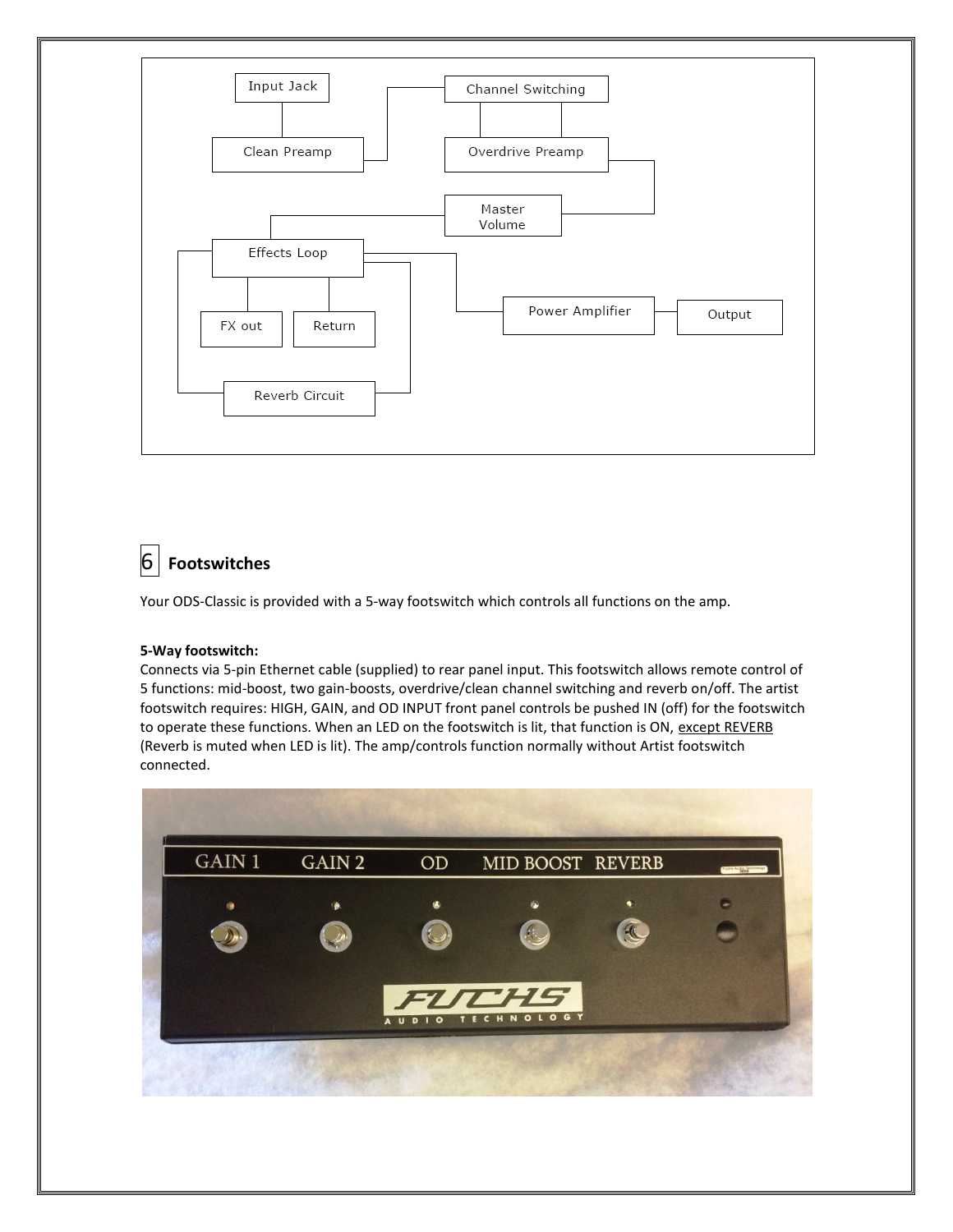

# 6 **Footswitches**

Your ODS-Classic is provided with a 5-way footswitch which controls all functions on the amp.

### **5-Way footswitch:**

Connects via 5-pin Ethernet cable (supplied) to rear panel input. This footswitch allows remote control of 5 functions: mid-boost, two gain-boosts, overdrive/clean channel switching and reverb on/off. The artist footswitch requires: HIGH, GAIN, and OD INPUT front panel controls be pushed IN (off) for the footswitch to operate these functions. When an LED on the footswitch is lit, that function is ON, except REVERB (Reverb is muted when LED is lit). The amp/controls function normally without Artist footswitch connected.

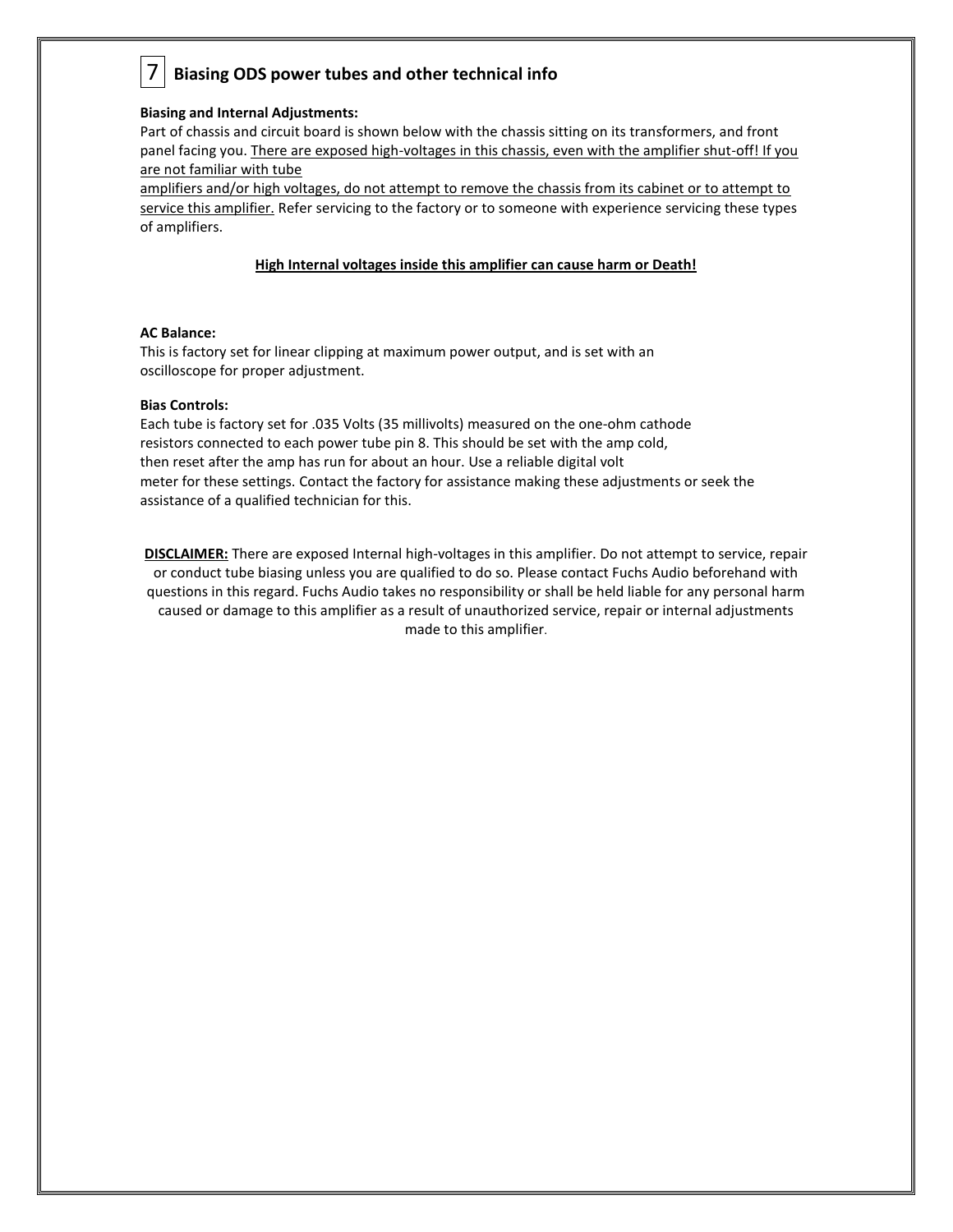# 7 **Biasing ODS power tubes and other technical info**

#### **Biasing and Internal Adjustments:**

Part of chassis and circuit board is shown below with the chassis sitting on its transformers, and front panel facing you. There are exposed high-voltages in this chassis, even with the amplifier shut-off! If you are not familiar with tube

amplifiers and/or high voltages, do not attempt to remove the chassis from its cabinet or to attempt to service this amplifier. Refer servicing to the factory or to someone with experience servicing these types of amplifiers.

#### **High Internal voltages inside this amplifier can cause harm or Death!**

#### **AC Balance:**

This is factory set for linear clipping at maximum power output, and is set with an oscilloscope for proper adjustment.

#### **Bias Controls:**

Each tube is factory set for .035 Volts (35 millivolts) measured on the one-ohm cathode resistors connected to each power tube pin 8. This should be set with the amp cold, then reset after the amp has run for about an hour. Use a reliable digital volt meter for these settings. Contact the factory for assistance making these adjustments or seek the assistance of a qualified technician for this.

**DISCLAIMER:** There are exposed Internal high-voltages in this amplifier. Do not attempt to service, repair or conduct tube biasing unless you are qualified to do so. Please contact Fuchs Audio beforehand with questions in this regard. Fuchs Audio takes no responsibility or shall be held liable for any personal harm caused or damage to this amplifier as a result of unauthorized service, repair or internal adjustments made to this amplifier.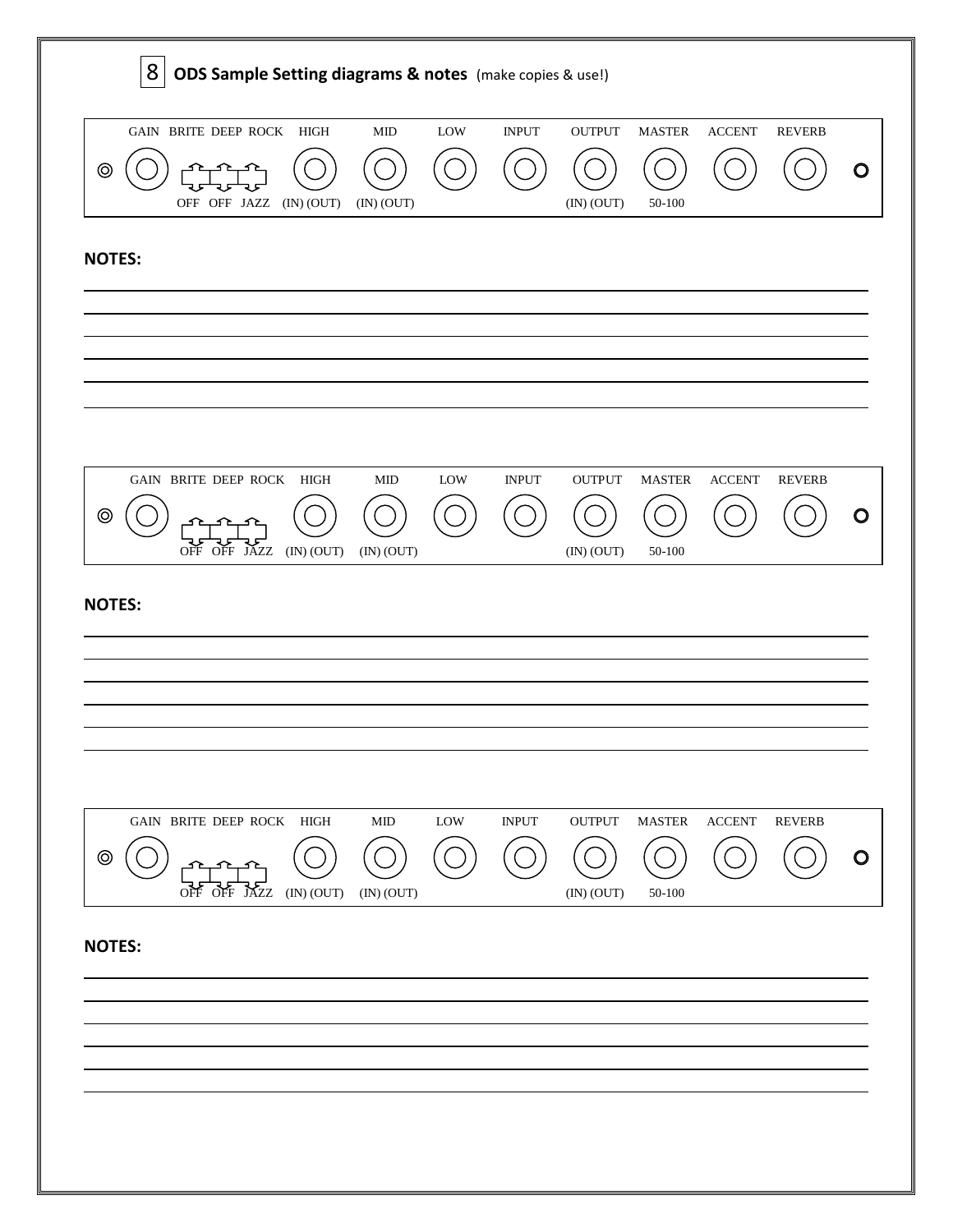| 8<br>ODS Sample Setting diagrams & notes (make copies & use!) |                                                 |            |                           |     |              |                             |                             |                         |               |     |
|---------------------------------------------------------------|-------------------------------------------------|------------|---------------------------|-----|--------------|-----------------------------|-----------------------------|-------------------------|---------------|-----|
| ⊚                                                             | GAIN BRITE DEEP ROCK HIGH<br>OFF OFF JAZZ       | (IN) (OUT) | ${\rm MID}$<br>(IN) (OUT) | LOW | <b>INPUT</b> | <b>OUTPUT</b><br>(IN) (OUT) | <b>MASTER</b><br>50-100     | $\operatorname{ACCENT}$ | <b>REVERB</b> | ( ) |
| <b>NOTES:</b>                                                 |                                                 |            |                           |     |              |                             |                             |                         |               |     |
|                                                               |                                                 |            |                           |     |              |                             |                             |                         |               |     |
| ⊚                                                             | GAIN BRITE DEEP ROCK<br>OFF OFF JAZZ (IN) (OUT) | HIGH       | MID<br>(IN) (OUT)         | LOW | <b>INPUT</b> | <b>OUTPUT</b><br>(IN) (OUT) | <b>MASTER</b><br>$50 - 100$ | <b>ACCENT</b>           | <b>REVERB</b> |     |
| <b>NOTES:</b>                                                 |                                                 |            |                           |     |              |                             |                             |                         |               |     |
|                                                               | GAIN BRITE DEEP ROCK HIGH                       |            | ${\rm MID}$               | LOW | <b>INPUT</b> | <b>OUTPUT</b>               | <b>MASTER</b>               | <b>ACCENT</b>           | <b>REVERB</b> |     |
| ⊚                                                             | OFF OFF<br>JÁZZ                                 | (IN) (OUT) | (IN) (OUT)                |     |              | (IN) (OUT)                  | 50-100                      |                         |               | ( ) |
| <b>NOTES:</b>                                                 |                                                 |            |                           |     |              |                             |                             |                         |               |     |
|                                                               |                                                 |            |                           |     |              |                             |                             |                         |               |     |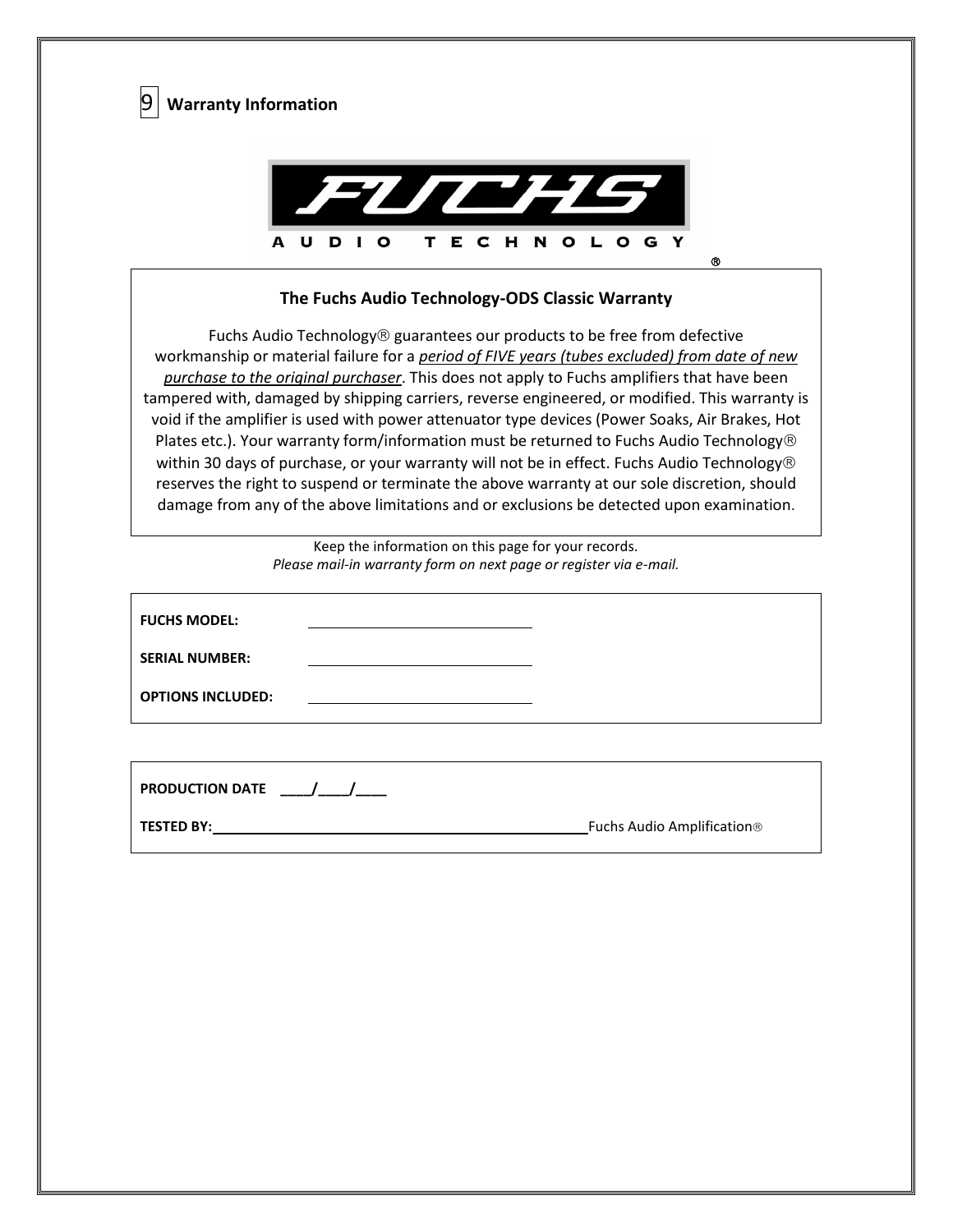

| <b>FUCHS MODEL:</b>      |  |
|--------------------------|--|
| <b>SERIAL NUMBER:</b>    |  |
| <b>OPTIONS INCLUDED:</b> |  |

| <b>PRODUCTION DATE</b> |                                        |
|------------------------|----------------------------------------|
| <b>TESTED BY:</b>      | Fuchs Audio Amplification <sup>®</sup> |